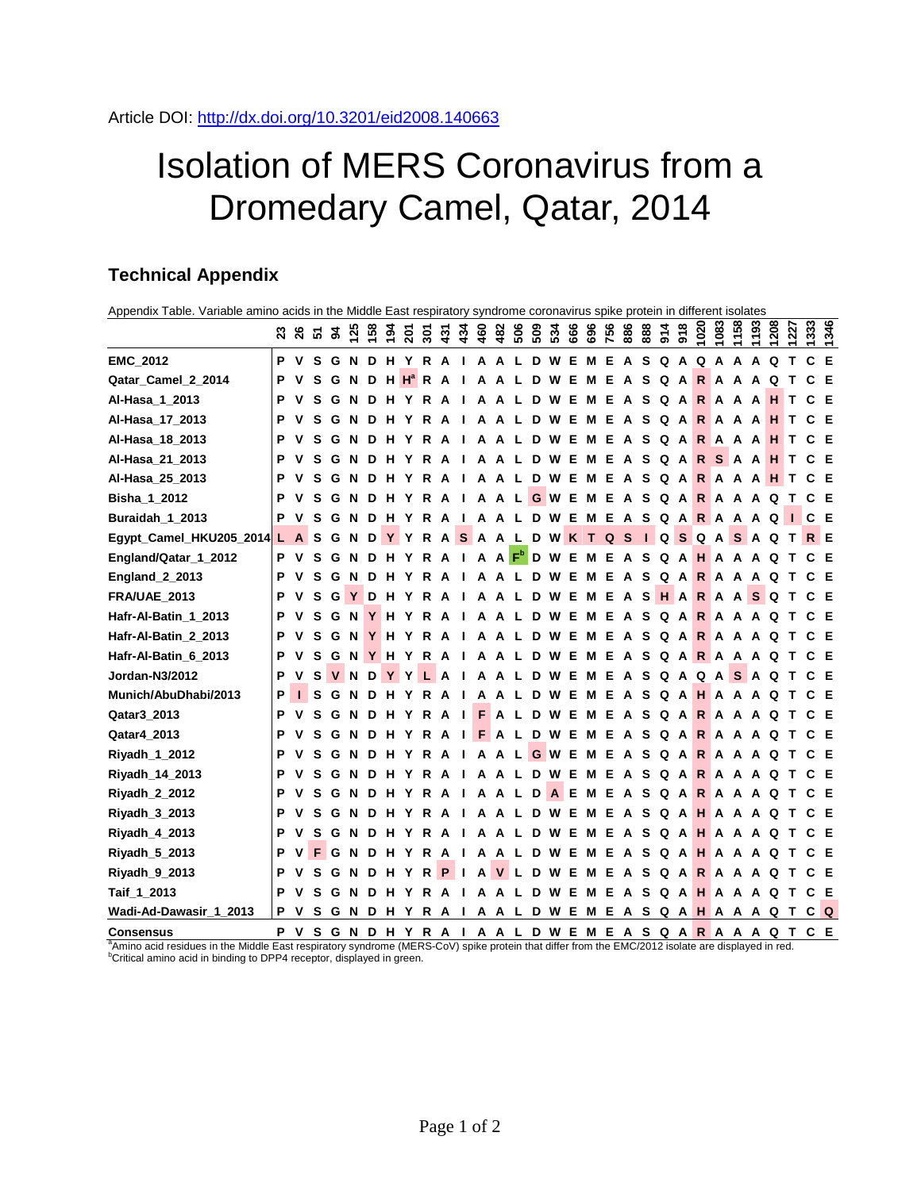## Isolation of MERS Coronavirus from a Dromedary Camel, Qatar, 2014

## **Technical Appendix**

| Appendix Table. Variable amino acids in the Middle East respiratory syndrome coronavirus spike protein in different isolates |   |             |   |   |          |   |       |                          |     |   |                        |     |              |              |     |                             |     |     |     |              |          |           |     |              |       |         |               |                                                                |                                                                            |      |      |
|------------------------------------------------------------------------------------------------------------------------------|---|-------------|---|---|----------|---|-------|--------------------------|-----|---|------------------------|-----|--------------|--------------|-----|-----------------------------|-----|-----|-----|--------------|----------|-----------|-----|--------------|-------|---------|---------------|----------------------------------------------------------------|----------------------------------------------------------------------------|------|------|
|                                                                                                                              |   |             |   |   |          |   |       | <b>ន</b> ឌ ឌ ឌ ឌ ឌ ទ ន ន |     |   | ភ្នំ<br><del>ប</del> ្ | 460 | 482          | 506          | 509 | 534                         | 666 | 696 | 756 | 886          |          | 88<br>914 | 918 | 1020         | 1083  | 1158    | 1193          | 1208                                                           | 1227                                                                       | 1333 | 1346 |
| <b>EMC 2012</b>                                                                                                              | P | v           | s | G | <b>N</b> |   |       | D H Y R                  |     | A | - 1                    |     | A A          |              | D   | W                           | Е   | м   | Е   | A S          |          | $\Omega$  | A   |              |       | QAAA    |               | Q                                                              |                                                                            | C E  |      |
| Qatar_Camel_2_2014                                                                                                           | Р |             | S | G | N        |   |       | D H H <sup>a</sup> R A   |     |   | -1                     | A   | A            | - L          | D   | W                           | Е   | м   | Е   | A            | S        | Q         | A   |              |       | RAAA    |               | Q                                                              |                                                                            |      | E    |
| Al-Hasa_1_2013                                                                                                               | P |             |   | G |          | D |       |                          | R   |   |                        |     |              |              | D   |                             | Е   | м   | Е   |              | S        | Q         | A   | $\mathsf{R}$ | A     | A       | A             | н                                                              |                                                                            |      | СE   |
| Al-Hasa_17_2013                                                                                                              | P |             |   | G |          |   |       |                          | R   |   |                        |     |              |              | D   | w                           | Е   | м   | Е   |              | S        | O         | A   |              |       |         |               | RAAAH                                                          | т                                                                          | СE   |      |
| Al-Hasa_18_2013                                                                                                              | P |             | S | G | N        | D |       |                          | R   | A |                        | A   |              |              | D   | w                           | Е   | м   | Е   | A            | S        | O         | A   |              | R A A |         | A             | н                                                              | т                                                                          | СE   |      |
| Al-Hasa_21_2013                                                                                                              | Р |             | s | G | N        | D |       |                          |     |   |                        | A   |              |              | D   | w                           | Е   | м   | Е   | $\mathbf{A}$ | s        | QA        |     | R            |       |         | SAAH          |                                                                | Т                                                                          | C E  |      |
| Al-Hasa_25_2013                                                                                                              | P |             |   | G |          | D |       |                          | R   |   |                        | A   |              |              | D   | W                           | Е   | м   | Е   | A            | S        | Q         | A   |              |       |         |               | <b>RAAAH</b>                                                   | Т                                                                          | C E  |      |
| Bisha_1_2012                                                                                                                 | P |             |   | G |          | D |       |                          | R   | Α | ш                      | Δ   | A            | -L           |     | G W                         | Е   | м   | Е   | A            | S        | Q         | A   |              |       | RAAA    |               | Q                                                              | т                                                                          | C E  |      |
| Buraidah_1_2013                                                                                                              | Р |             | S | G |          | D | н     | Y                        | R A |   | л.                     |     | A A L        |              |     | D W                         | Е   | M   | Е   | A S          |          |           |     |              |       |         | Q A R A A A Q |                                                                |                                                                            | C E  |      |
| Egypt_Camel_HKU205_2014 L A                                                                                                  |   |             | s | G | N        | D |       | YY                       |     |   |                        |     |              | R A S A A L  |     | D W K T Q S I Q S Q A S A Q |     |     |     |              |          |           |     |              |       |         |               |                                                                | т                                                                          | R E  |      |
| England/Qatar_1_2012                                                                                                         | Р | $\mathbf v$ | S | G | N        | D | н     |                          | R   | A | $\blacksquare$         |     | $A \cap F^b$ |              |     | D W                         | E   | м   | E   | A S          |          | QA        |     | H A A A      |       |         |               | Q                                                              |                                                                            | СE   |      |
| <b>England 2 2013</b>                                                                                                        | P |             | S | G | N        | D | н     | Y                        | R   |   |                        | A   |              |              | D   | w                           | Е   | м   | Е   | A S          |          |           |     | QARAAA       |       |         |               | െ                                                              |                                                                            |      | СE   |
| <b>FRA/UAE 2013</b>                                                                                                          | Р |             | s | G | Y        | D | н     | Y                        | R   | A |                        | A   | A            |              | D   | w                           | Е   | м   | Е   | A            | s        | H A       |     |              |       |         | <b>RAASQ</b>  |                                                                |                                                                            | C E  |      |
| Hafr-Al-Batin_1_2013                                                                                                         |   |             |   | G | N        |   |       |                          | R   |   |                        |     |              |              | D   | w                           | Е   | м   | Е   | A            | S        | QA        |     |              | R A A |         | A             | Q                                                              |                                                                            | СE   |      |
| Hafr-Al-Batin_2_2013                                                                                                         | P |             |   |   | N        |   | н     | Y                        | R   | A |                        |     |              |              | D   |                             | Е   | м   | Е   |              | s        | Q         |     | ARAAA        |       |         |               | െ                                                              |                                                                            |      | СE   |
| Hafr-Al-Batin 6 2013                                                                                                         | P | v           | S | G | N        |   | Y H Y |                          | R A |   | -1                     | A   | A            | L            | D   | W                           | Е   | м   | Е   | A            | <b>s</b> |           |     |              |       |         | Q A R A A A Q |                                                                | $\mathbf{T}$                                                               | C E  |      |
| Jordan-N3/2012                                                                                                               | Р | v           | S | V | N        | D | Y     | Y                        |     | A |                        | А   |              | L            | D   | W                           | Е   | м   | Е   | A            | S        | QA        |     |              |       |         | QASAQ         |                                                                |                                                                            | C E  |      |
| Munich/AbuDhabi/2013                                                                                                         | Р |             |   | G |          |   |       |                          | R   |   |                        | А   |              |              | D   | w                           | Е   | м   | Е   | A            | S        | Q         | A   | H A A A      |       |         |               | Q                                                              |                                                                            | СE   |      |
| Qatar3_2013                                                                                                                  | P |             | s | G |          | D |       |                          | R   | A | $\mathbf{I}$           | F   | A            |              | D   | w                           | Е   | м   | Е   | A            | <b>s</b> |           |     |              |       |         | Q A R A A A Q |                                                                | $\mathbf{T}$                                                               | C E  |      |
| Qatar4_2013                                                                                                                  | P |             |   | G |          | D |       |                          | R   | A | л.                     | F   | ΙA           | L            | D   | W                           | Е   | м   | Е   | A            | s        | Q A       |     |              |       |         | R A A A       | Q                                                              |                                                                            | СE   |      |
| Riyadh_1_2012                                                                                                                | P |             | s | G | N        | D |       |                          | R   | A |                        |     | A A          |              |     | G W                         | E   | м   | Е   | A            | s        |           |     |              |       |         |               | Q A R A A A Q                                                  |                                                                            | C E  |      |
| Riyadh_14_2013                                                                                                               | Р | v           | s | G | N        | D | н     | Y                        | R   | A | ш                      | A   | A            | $\mathbf{L}$ | D   | W                           | Е   | м   | Е   | A            | s        | Q         | A   | <b>RAAA</b>  |       |         |               | Q                                                              | $\mathbf{T}$                                                               | C E  |      |
| Riyadh_2_2012                                                                                                                | Р |             |   | G | N        | D |       |                          | R   |   |                        | А   | A            | - L          | D   | A E                         |     | м   | Е   | A            | s        | QA        |     | RAAA         |       |         |               | Q                                                              |                                                                            | C E  |      |
| Riyadh_3_2013                                                                                                                | P |             |   | G |          | D |       |                          | R   |   |                        |     |              |              | D   | w                           | Е   | м   | Е   |              | s        | Q         | A   |              | H A A |         | A             | Q                                                              |                                                                            | СE   |      |
| Riyadh_4_2013                                                                                                                | Р |             | s | G | N        |   |       |                          | R   | A |                        | A   |              |              | D   |                             | Е   | м   | Е   | A            | s        | Q         | A   |              |       | H A A A |               | Q                                                              |                                                                            | СE   |      |
| Riyadh_5_2013                                                                                                                | P |             |   | G |          |   |       | Υ                        | R A |   | л.                     |     | A A          |              | D   | w                           | Е   | м   | Е   | A            | <b>S</b> | QA        |     |              |       |         | HAAAQ         |                                                                |                                                                            |      | C E  |
| Riyadh 9 2013                                                                                                                | P |             | s | G | N        | D | н     | Υ                        | R   | P | $\mathbf{I}$           | A   | V L          |              | D   | W                           | Е   | м   | Е   | A            | S        | Q         | A   | R A          |       | A       | A             | Q                                                              |                                                                            | СE   |      |
| Taif_1_2013                                                                                                                  | Р | v           | s | G | N        | D | н     | Y                        | R   | A |                        | А   |              |              | D   | W                           | Е   | м   | Е   | A S          |          | QA        |     |              |       |         | HAAAQ         |                                                                | $\mathbf{T}$                                                               | C E  |      |
| Wadi-Ad-Dawasir_1_2013                                                                                                       | P | v           | S | G |          |   |       |                          |     |   |                        |     |              |              |     |                             |     |     |     |              |          |           |     |              |       |         |               | N D H Y R A I A A L D W E M E A S Q A <mark>H</mark> A A A Q T |                                                                            |      | CQ   |
| Conconcus                                                                                                                    |   |             |   |   |          |   |       |                          |     |   |                        |     |              |              |     |                             |     |     |     |              |          |           |     |              |       |         |               |                                                                | D V C C N D U V D A I A A I D W E M E A C O A <mark>D</mark> A A A O T C E |      |      |

Consensus  $P V S G N D H Y R A I A A L D W E M E A S Q A R A A Q T C E$ "Amino acid residues in the Middle East respiratory syndrome (MERS-CoV) spike protein that differ from the EMC/2012 isolate are displayed in red.<br><sup>b</sup>Critical amino acid in binding to DPP4 receptor, displayed in green.